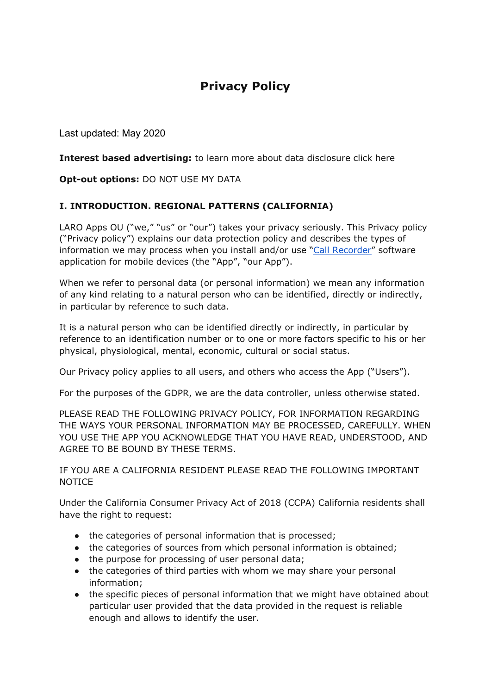# **Privacy Policy**

Last updated: May 2020

**Interest based advertising:** to learn more about data disclosure click here

**Opt-out options:** DO NOT USE MY DATA

#### **I. INTRODUCTION. REGIONAL PATTERNS (CALIFORNIA)**

LARO Apps OU ("we," "us" or "our") takes your privacy seriously. This Privacy policy ("Privacy policy") explains our data protection policy and describes the types of information we may process when you install and/or use "[Call Recorder"](https://apps.apple.com/app/id1510103559) software application for mobile devices (the "App", "our App").

When we refer to personal data (or personal information) we mean any information of any kind relating to a natural person who can be identified, directly or indirectly, in particular by reference to such data.

It is a natural person who can be identified directly or indirectly, in particular by reference to an identification number or to one or more factors specific to his or her physical, physiological, mental, economic, cultural or social status.

Our Privacy policy applies to all users, and others who access the App ("Users").

For the purposes of the GDPR, we are the data controller, unless otherwise stated.

PLEASE READ THE FOLLOWING PRIVACY POLICY, FOR INFORMATION REGARDING THE WAYS YOUR PERSONAL INFORMATION MAY BE PROCESSED, CAREFULLY. WHEN YOU USE THE APP YOU ACKNOWLEDGE THAT YOU HAVE READ, UNDERSTOOD, AND AGREE TO BE BOUND BY THESE TERMS.

IF YOU ARE A CALIFORNIA RESIDENT PLEASE READ THE FOLLOWING IMPORTANT NOTICE

Under the California Consumer Privacy Act of 2018 (CCPA) California residents shall have the right to request:

- the categories of personal information that is processed;
- the categories of sources from which personal information is obtained;
- the purpose for processing of user personal data;
- the categories of third parties with whom we may share your personal information;
- the specific pieces of personal information that we might have obtained about particular user provided that the data provided in the request is reliable enough and allows to identify the user.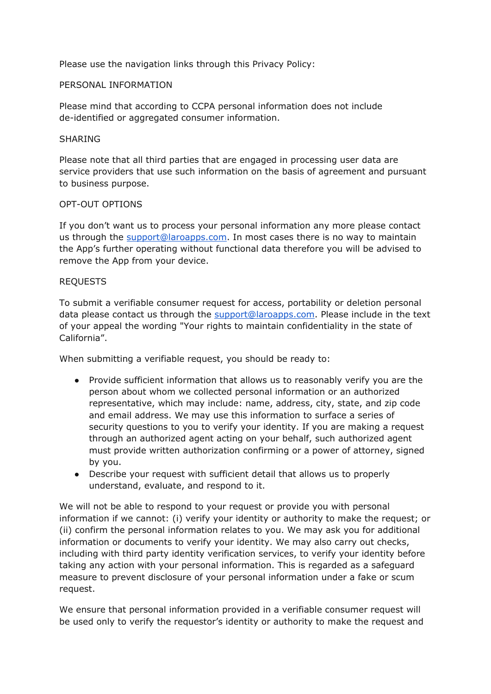Please use the navigation links through this Privacy Policy:

#### PERSONAL INFORMATION

Please mind that according to CCPA personal information does not include de-identified or aggregated consumer information.

#### SHARING

Please note that all third parties that are engaged in processing user data are service providers that use such information on the basis of agreement and pursuant to business purpose.

#### OPT-OUT OPTIONS

If you don't want us to process your personal information any more please contact us through the [support@laroapps.com](mailto:support@laroapps.com). In most cases there is no way to maintain the App's further operating without functional data therefore you will be advised to remove the App from your device.

#### REQUESTS

To submit a verifiable consumer request for access, portability or deletion personal data please contact us through the [support@laroapps.com](mailto:support@laroapps.com). Please include in the text of your appeal the wording "Your rights to maintain confidentiality in the state of California".

When submitting a verifiable request, you should be ready to:

- Provide sufficient information that allows us to reasonably verify you are the person about whom we collected personal information or an authorized representative, which may include: name, address, city, state, and zip code and email address. We may use this information to surface a series of security questions to you to verify your identity. If you are making a request through an authorized agent acting on your behalf, such authorized agent must provide written authorization confirming or a power of attorney, signed by you.
- Describe your request with sufficient detail that allows us to properly understand, evaluate, and respond to it.

We will not be able to respond to your request or provide you with personal information if we cannot: (i) verify your identity or authority to make the request; or (ii) confirm the personal information relates to you. We may ask you for additional information or documents to verify your identity. We may also carry out checks, including with third party identity verification services, to verify your identity before taking any action with your personal information. This is regarded as a safeguard measure to prevent disclosure of your personal information under a fake or scum request.

We ensure that personal information provided in a verifiable consumer request will be used only to verify the requestor's identity or authority to make the request and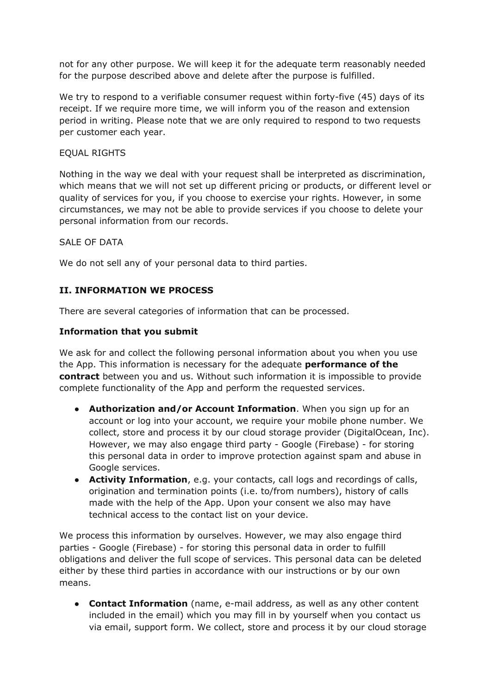not for any other purpose. We will keep it for the adequate term reasonably needed for the purpose described above and delete after the purpose is fulfilled.

We try to respond to a verifiable consumer request within forty-five (45) days of its receipt. If we require more time, we will inform you of the reason and extension period in writing. Please note that we are only required to respond to two requests per customer each year.

#### EQUAL RIGHTS

Nothing in the way we deal with your request shall be interpreted as discrimination, which means that we will not set up different pricing or products, or different level or quality of services for you, if you choose to exercise your rights. However, in some circumstances, we may not be able to provide services if you choose to delete your personal information from our records.

#### SALE OF DATA

We do not sell any of your personal data to third parties.

## **II. INFORMATION WE PROCESS**

There are several categories of information that can be processed.

#### **Information that you submit**

We ask for and collect the following personal information about you when you use the App. This information is necessary for the adequate **performance of the contract** between you and us. Without such information it is impossible to provide complete functionality of the App and perform the requested services.

- **Authorization and/or Account Information**. When you sign up for an account or log into your account, we require your mobile phone number. We collect, store and process it by our cloud storage provider (DigitalOcean, Inc). However, we may also engage third party - Google (Firebase) - for storing this personal data in order to improve protection against spam and abuse in Google services.
- **Activity Information**, e.g. your contacts, call logs and recordings of calls, origination and termination points (i.e. to/from numbers), history of calls made with the help of the App. Upon your consent we also may have technical access to the contact list on your device.

We process this information by ourselves. However, we may also engage third parties - Google (Firebase) - for storing this personal data in order to fulfill obligations and deliver the full scope of services. This personal data can be deleted either by these third parties in accordance with our instructions or by our own means.

● **Contact Information** (name, e-mail address, as well as any other content included in the email) which you may fill in by yourself when you contact us via email, support form. We collect, store and process it by our cloud storage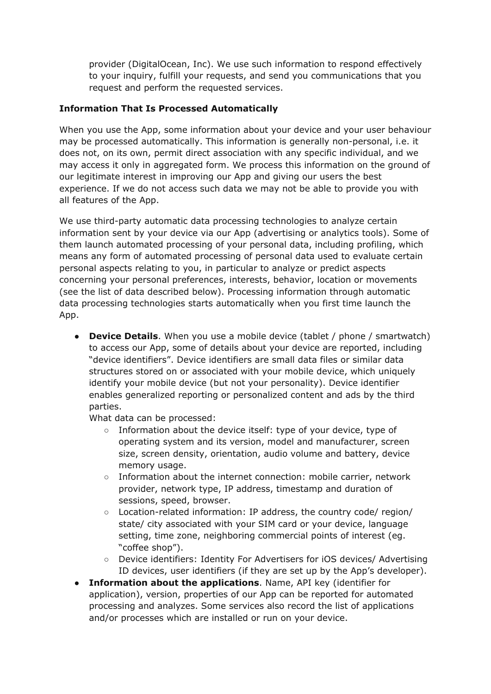provider (DigitalOcean, Inc). We use such information to respond effectively to your inquiry, fulfill your requests, and send you communications that you request and perform the requested services.

## **Information That Is Processed Automatically**

When you use the App, some information about your device and your user behaviour may be processed automatically. This information is generally non-personal, i.e. it does not, on its own, permit direct association with any specific individual, and we may access it only in aggregated form. We process this information on the ground of our legitimate interest in improving our App and giving our users the best experience. If we do not access such data we may not be able to provide you with all features of the App.

We use third-party automatic data processing technologies to analyze certain information sent by your device via our App (advertising or analytics tools). Some of them launch automated processing of your personal data, including profiling, which means any form of automated processing of personal data used to evaluate certain personal aspects relating to you, in particular to analyze or predict aspects concerning your personal preferences, interests, behavior, location or movements (see the list of data described below). Processing information through automatic data processing technologies starts automatically when you first time launch the App.

● **Device Details**. When you use a mobile device (tablet / phone / smartwatch) to access our App, some of details about your device are reported, including "device identifiers". Device identifiers are small data files or similar data structures stored on or associated with your mobile device, which uniquely identify your mobile device (but not your personality). Device identifier enables generalized reporting or personalized content and ads by the third parties.

What data can be processed:

- $\circ$  Information about the device itself: type of your device, type of operating system and its version, model and manufacturer, screen size, screen density, orientation, audio volume and battery, device memory usage.
- Information about the internet connection: mobile carrier, network provider, network type, IP address, timestamp and duration of sessions, speed, browser.
- Location-related information: IP address, the country code/ region/ state/ city associated with your SIM card or your device, language setting, time zone, neighboring commercial points of interest (eg. "coffee shop").
- Device identifiers: Identity For Advertisers for iOS devices/ Advertising ID devices, user identifiers (if they are set up by the App's developer).
- **Information about the applications**. Name, API key (identifier for application), version, properties of our App can be reported for automated processing and analyzes. Some services also record the list of applications and/or processes which are installed or run on your device.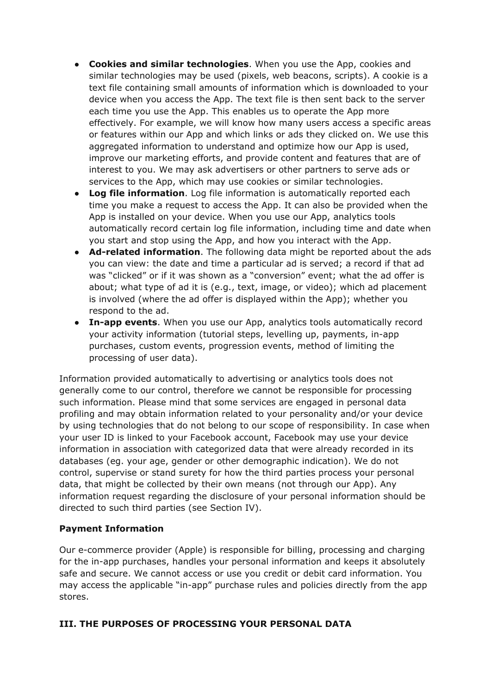- **Cookies and similar technologies**. When you use the App, cookies and similar technologies may be used (pixels, web beacons, scripts). A cookie is a text file containing small amounts of information which is downloaded to your device when you access the App. The text file is then sent back to the server each time you use the App. This enables us to operate the App more effectively. For example, we will know how many users access a specific areas or features within our App and which links or ads they clicked on. We use this aggregated information to understand and optimize how our App is used, improve our marketing efforts, and provide content and features that are of interest to you. We may ask advertisers or other partners to serve ads or services to the App, which may use cookies or similar technologies.
- **Log file information**. Log file information is automatically reported each time you make a request to access the App. It can also be provided when the App is installed on your device. When you use our App, analytics tools automatically record certain log file information, including time and date when you start and stop using the App, and how you interact with the App.
- **Ad-related information**. The following data might be reported about the ads you can view: the date and time a particular ad is served; a record if that ad was "clicked" or if it was shown as a "conversion" event; what the ad offer is about; what type of ad it is (e.g., text, image, or video); which ad placement is involved (where the ad offer is displayed within the App); whether you respond to the ad.
- **In-app events**. When you use our App, analytics tools automatically record your activity information (tutorial steps, levelling up, payments, in-app purchases, custom events, progression events, method of limiting the processing of user data).

Information provided automatically to advertising or analytics tools does not generally come to our control, therefore we cannot be responsible for processing such information. Please mind that some services are engaged in personal data profiling and may obtain information related to your personality and/or your device by using technologies that do not belong to our scope of responsibility. In case when your user ID is linked to your Facebook account, Facebook may use your device information in association with categorized data that were already recorded in its databases (eg. your age, gender or other demographic indication). We do not control, supervise or stand surety for how the third parties process your personal data, that might be collected by their own means (not through our App). Any information request regarding the disclosure of your personal information should be directed to such third parties (see Section IV).

#### **Payment Information**

Our e-commerce provider (Apple) is responsible for billing, processing and charging for the in-app purchases, handles your personal information and keeps it absolutely safe and secure. We cannot access or use you credit or debit card information. You may access the applicable "in-app" purchase rules and policies directly from the app stores.

#### **III. THE PURPOSES OF PROCESSING YOUR PERSONAL DATA**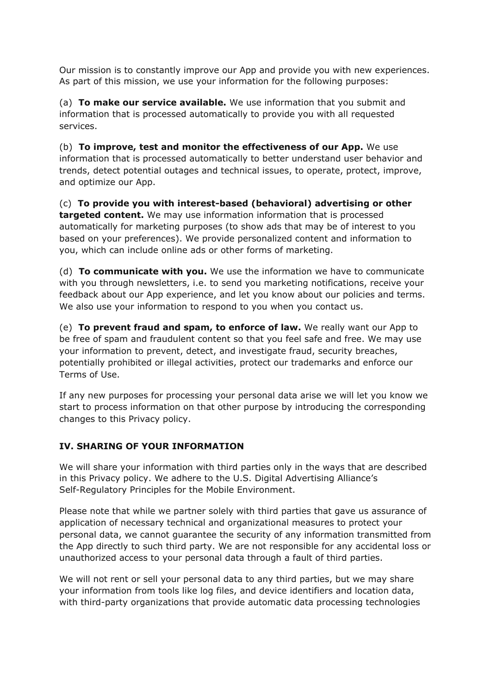Our mission is to constantly improve our App and provide you with new experiences. As part of this mission, we use your information for the following purposes:

(a) **To make our service available.** We use information that you submit and information that is processed automatically to provide you with all requested services.

(b) **To improve, test and monitor the effectiveness of our App.** We use information that is processed automatically to better understand user behavior and trends, detect potential outages and technical issues, to operate, protect, improve, and optimize our App.

(c) **To provide you with interest-based (behavioral) advertising or other targeted content.** We may use information information that is processed automatically for marketing purposes (to show ads that may be of interest to you based on your preferences). We provide personalized content and information to you, which can include online ads or other forms of marketing.

(d) **To communicate with you.** We use the information we have to communicate with you through newsletters, i.e. to send you marketing notifications, receive your feedback about our App experience, and let you know about our policies and terms. We also use your information to respond to you when you contact us.

(e) **To prevent fraud and spam, to enforce of law.** We really want our App to be free of spam and fraudulent content so that you feel safe and free. We may use your information to prevent, detect, and investigate fraud, security breaches, potentially prohibited or illegal activities, protect our trademarks and enforce our Terms of Use.

If any new purposes for processing your personal data arise we will let you know we start to process information on that other purpose by introducing the corresponding changes to this Privacy policy.

#### **IV. SHARING OF YOUR INFORMATION**

We will share your information with third parties only in the ways that are described in this Privacy policy. We adhere to the U.S. Digital Advertising Alliance's Self-Regulatory Principles for the Mobile Environment.

Please note that while we partner solely with third parties that gave us assurance of application of necessary technical and organizational measures to protect your personal data, we cannot guarantee the security of any information transmitted from the App directly to such third party. We are not responsible for any accidental loss or unauthorized access to your personal data through a fault of third parties.

We will not rent or sell your personal data to any third parties, but we may share your information from tools like log files, and device identifiers and location data, with third-party organizations that provide automatic data processing technologies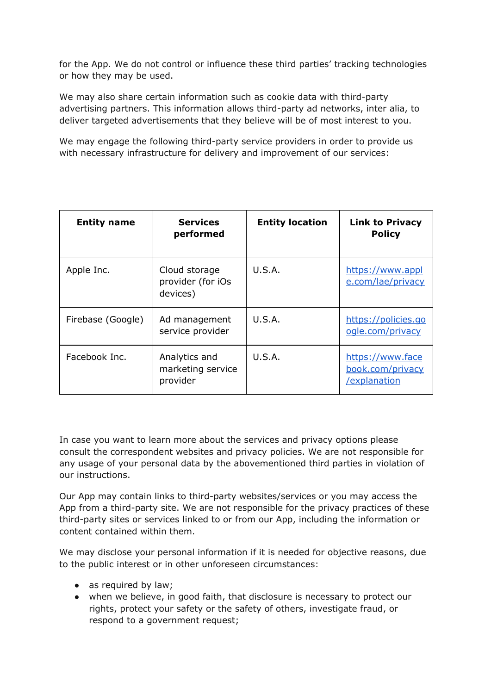for the App. We do not control or influence these third parties' tracking technologies or how they may be used.

We may also share certain information such as cookie data with third-party advertising partners. This information allows third-party ad networks, inter alia, to deliver targeted advertisements that they believe will be of most interest to you.

We may engage the following third-party service providers in order to provide us with necessary infrastructure for delivery and improvement of our services:

| <b>Entity name</b> | <b>Services</b><br>performed                   | <b>Entity location</b> | <b>Link to Privacy</b><br><b>Policy</b>              |
|--------------------|------------------------------------------------|------------------------|------------------------------------------------------|
| Apple Inc.         | Cloud storage<br>provider (for iOs<br>devices) | U.S.A.                 | https://www.appl<br>e.com/lae/privacy                |
| Firebase (Google)  | Ad management<br>service provider              | U.S.A.                 | https://policies.go<br>ogle.com/privacy              |
| Facebook Inc.      | Analytics and<br>marketing service<br>provider | U.S.A.                 | https://www.face<br>book.com/privacy<br>/explanation |

In case you want to learn more about the services and privacy options please consult the correspondent websites and privacy policies. We are not responsible for any usage of your personal data by the abovementioned third parties in violation of our instructions.

Our App may contain links to third-party websites/services or you may access the App from a third-party site. We are not responsible for the privacy practices of these third-party sites or services linked to or from our App, including the information or content contained within them.

We may disclose your personal information if it is needed for objective reasons, due to the public interest or in other unforeseen circumstances:

- as required by law;
- when we believe, in good faith, that disclosure is necessary to protect our rights, protect your safety or the safety of others, investigate fraud, or respond to a government request;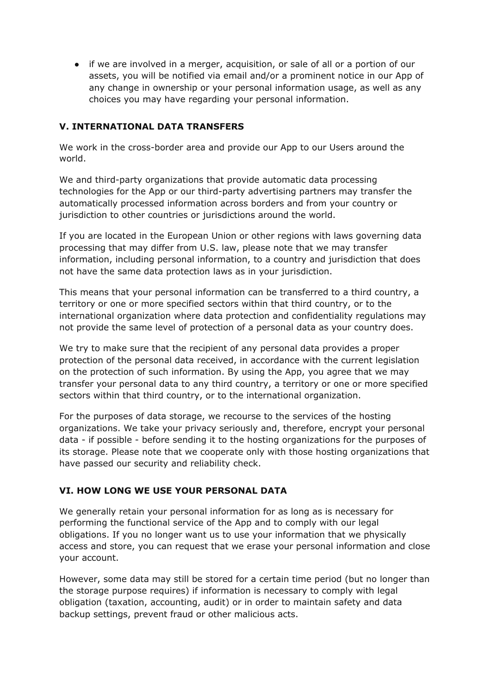● if we are involved in a merger, acquisition, or sale of all or a portion of our assets, you will be notified via email and/or a prominent notice in our App of any change in ownership or your personal information usage, as well as any choices you may have regarding your personal information.

### **V. INTERNATIONAL DATA TRANSFERS**

We work in the cross-border area and provide our App to our Users around the world.

We and third-party organizations that provide automatic data processing technologies for the App or our third-party advertising partners may transfer the automatically processed information across borders and from your country or jurisdiction to other countries or jurisdictions around the world.

If you are located in the European Union or other regions with laws governing data processing that may differ from U.S. law, please note that we may transfer information, including personal information, to a country and jurisdiction that does not have the same data protection laws as in your jurisdiction.

This means that your personal information can be transferred to a third country, a territory or one or more specified sectors within that third country, or to the international organization where data protection and confidentiality regulations may not provide the same level of protection of a personal data as your country does.

We try to make sure that the recipient of any personal data provides a proper protection of the personal data received, in accordance with the current legislation on the protection of such information. By using the App, you agree that we may transfer your personal data to any third country, a territory or one or more specified sectors within that third country, or to the international organization.

For the purposes of data storage, we recourse to the services of the hosting organizations. We take your privacy seriously and, therefore, encrypt your personal data - if possible - before sending it to the hosting organizations for the purposes of its storage. Please note that we cooperate only with those hosting organizations that have passed our security and reliability check.

#### **VI. HOW LONG WE USE YOUR PERSONAL DATA**

We generally retain your personal information for as long as is necessary for performing the functional service of the App and to comply with our legal obligations. If you no longer want us to use your information that we physically access and store, you can request that we erase your personal information and close your account.

However, some data may still be stored for a certain time period (but no longer than the storage purpose requires) if information is necessary to comply with legal obligation (taxation, accounting, audit) or in order to maintain safety and data backup settings, prevent fraud or other malicious acts.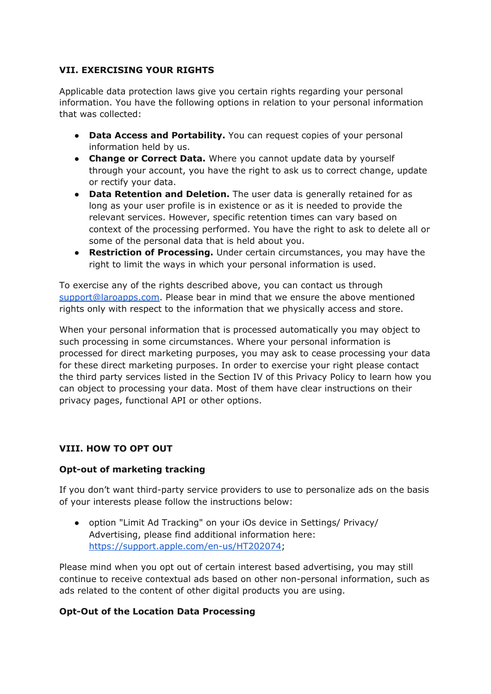## **VII. EXERCISING YOUR RIGHTS**

Applicable data protection laws give you certain rights regarding your personal information. You have the following options in relation to your personal information that was collected:

- **Data Access and Portability.** You can request copies of your personal information held by us.
- **Change or Correct Data.** Where you cannot update data by yourself through your account, you have the right to ask us to correct change, update or rectify your data.
- **Data Retention and Deletion.** The user data is generally retained for as long as your user profile is in existence or as it is needed to provide the relevant services. However, specific retention times can vary based on context of the processing performed. You have the right to ask to delete all or some of the personal data that is held about you.
- **Restriction of Processing.** Under certain circumstances, you may have the right to limit the ways in which your personal information is used.

To exercise any of the rights described above, you can contact us through [support@laroapps.com.](mailto:support@laroapps.com) Please bear in mind that we ensure the above mentioned rights only with respect to the information that we physically access and store.

When your personal information that is processed automatically you may object to such processing in some circumstances. Where your personal information is processed for direct marketing purposes, you may ask to cease processing your data for these direct marketing purposes. In order to exercise your right please contact the third party services listed in the Section IV of this Privacy Policy to learn how you can object to processing your data. Most of them have clear instructions on their privacy pages, functional API or other options.

#### **VIII. HOW TO OPT OUT**

#### **Opt-out of marketing tracking**

If you don't want third-party service providers to use to personalize ads on the basis of your interests please follow the instructions below:

● option "Limit Ad Tracking" on your iOs device in Settings/ Privacy/ Advertising, please find additional information here: [https://support.apple.com/en-us/HT202074;](https://support.apple.com/en-us/HT202074)

Please mind when you opt out of certain interest based advertising, you may still continue to receive contextual ads based on other non-personal information, such as ads related to the content of other digital products you are using.

#### **Opt-Out of the Location Data Processing**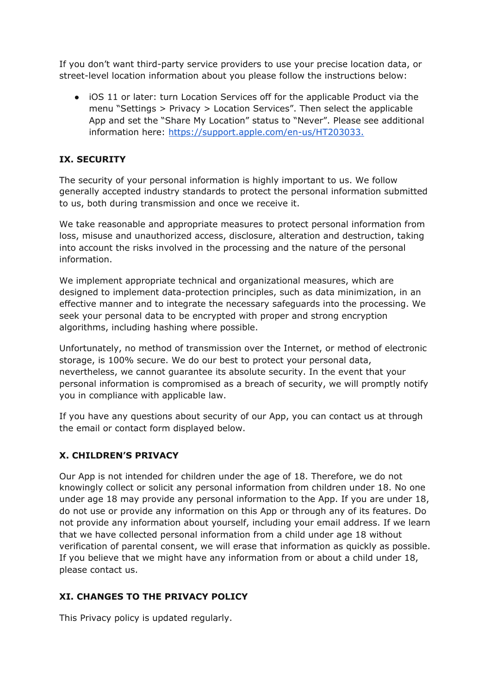If you don't want third-party service providers to use your precise location data, or street-level location information about you please follow the instructions below:

● iOS 11 or later: turn Location Services off for the applicable Product via the menu "Settings > Privacy > Location Services". Then select the applicable App and set the "Share My Location" status to "Never". Please see additional information here: <https://support.apple.com/en-us/HT203033.>

## **IX. SECURITY**

The security of your personal information is highly important to us. We follow generally accepted industry standards to protect the personal information submitted to us, both during transmission and once we receive it.

We take reasonable and appropriate measures to protect personal information from loss, misuse and unauthorized access, disclosure, alteration and destruction, taking into account the risks involved in the processing and the nature of the personal information.

We implement appropriate technical and organizational measures, which are designed to implement data-protection principles, such as data minimization, in an effective manner and to integrate the necessary safeguards into the processing. We seek your personal data to be encrypted with proper and strong encryption algorithms, including hashing where possible.

Unfortunately, no method of transmission over the Internet, or method of electronic storage, is 100% secure. We do our best to protect your personal data, nevertheless, we cannot guarantee its absolute security. In the event that your personal information is compromised as a breach of security, we will promptly notify you in compliance with applicable law.

If you have any questions about security of our App, you can contact us at through the email or contact form displayed below.

## **X. CHILDREN'S PRIVACY**

Our App is not intended for children under the age of 18. Therefore, we do not knowingly collect or solicit any personal information from children under 18. No one under age 18 may provide any personal information to the App. If you are under 18, do not use or provide any information on this App or through any of its features. Do not provide any information about yourself, including your email address. If we learn that we have collected personal information from a child under age 18 without verification of parental consent, we will erase that information as quickly as possible. If you believe that we might have any information from or about a child under 18, please contact us.

#### **XI. CHANGES TO THE PRIVACY POLICY**

This Privacy policy is updated regularly.